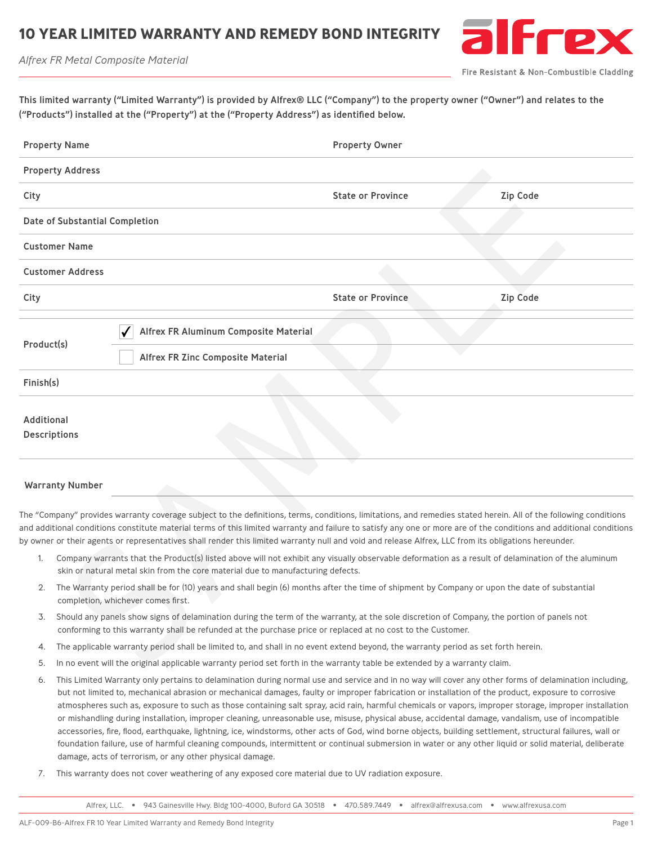## **10 YEAR LIMITED WARRANTY AND REMEDY BOND INTEGRITY**





Fire Resistant & Non-Combustible Cladding

| This limited warranty ("Limited Warranty") is provided by Alfrex® LLC ("Company") to the property owner ("Owner") and relates to the |
|--------------------------------------------------------------------------------------------------------------------------------------|
| ("Products") installed at the ("Property") at the ("Property Address") as identified below.                                          |

| <b>Property Name</b> |                                                                                                                                                                                                                                                           |                                                                                                                                                                                                                                                                                                                                                                                                                                                                                                 | <b>Property Owner</b>    |                 |  |  |
|----------------------|-----------------------------------------------------------------------------------------------------------------------------------------------------------------------------------------------------------------------------------------------------------|-------------------------------------------------------------------------------------------------------------------------------------------------------------------------------------------------------------------------------------------------------------------------------------------------------------------------------------------------------------------------------------------------------------------------------------------------------------------------------------------------|--------------------------|-----------------|--|--|
|                      | <b>Property Address</b>                                                                                                                                                                                                                                   |                                                                                                                                                                                                                                                                                                                                                                                                                                                                                                 |                          |                 |  |  |
| City                 |                                                                                                                                                                                                                                                           |                                                                                                                                                                                                                                                                                                                                                                                                                                                                                                 | <b>State or Province</b> | <b>Zip Code</b> |  |  |
|                      | Date of Substantial Completion                                                                                                                                                                                                                            |                                                                                                                                                                                                                                                                                                                                                                                                                                                                                                 |                          |                 |  |  |
|                      | <b>Customer Name</b>                                                                                                                                                                                                                                      |                                                                                                                                                                                                                                                                                                                                                                                                                                                                                                 |                          |                 |  |  |
|                      | <b>Customer Address</b>                                                                                                                                                                                                                                   |                                                                                                                                                                                                                                                                                                                                                                                                                                                                                                 |                          |                 |  |  |
| City                 |                                                                                                                                                                                                                                                           |                                                                                                                                                                                                                                                                                                                                                                                                                                                                                                 | <b>State or Province</b> | <b>Zip Code</b> |  |  |
| Product(s)           |                                                                                                                                                                                                                                                           | Alfrex FR Aluminum Composite Material<br><b>Alfrex FR Zinc Composite Material</b>                                                                                                                                                                                                                                                                                                                                                                                                               |                          |                 |  |  |
| Finish(s)            |                                                                                                                                                                                                                                                           |                                                                                                                                                                                                                                                                                                                                                                                                                                                                                                 |                          |                 |  |  |
| <b>Additional</b>    | <b>Descriptions</b>                                                                                                                                                                                                                                       |                                                                                                                                                                                                                                                                                                                                                                                                                                                                                                 |                          |                 |  |  |
|                      | <b>Warranty Number</b>                                                                                                                                                                                                                                    |                                                                                                                                                                                                                                                                                                                                                                                                                                                                                                 |                          |                 |  |  |
|                      |                                                                                                                                                                                                                                                           | The "Company" provides warranty coverage subject to the definitions, terms, conditions, limitations, and remedies stated herein. All of the following conditions<br>and additional conditions constitute material terms of this limited warranty and failure to satisfy any one or more are of the conditions and additional conditions<br>by owner or their agents or representatives shall render this limited warranty null and void and release Alfrex, LLC from its obligations hereunder. |                          |                 |  |  |
| 1.                   | Company warrants that the Product(s) listed above will not exhibit any visually observable deformation as a result of delamination of the aluminum<br>skin or natural metal skin from the core material due to manufacturing defects.                     |                                                                                                                                                                                                                                                                                                                                                                                                                                                                                                 |                          |                 |  |  |
| 2.                   | The Warranty period shall be for (10) years and shall begin (6) months after the time of shipment by Company or upon the date of substantial<br>completion, whichever comes first.                                                                        |                                                                                                                                                                                                                                                                                                                                                                                                                                                                                                 |                          |                 |  |  |
| 3.                   | Should any panels show signs of delamination during the term of the warranty, at the sole discretion of Company, the portion of panels not<br>conforming to this warranty shall be refunded at the purchase price or replaced at no cost to the Customer. |                                                                                                                                                                                                                                                                                                                                                                                                                                                                                                 |                          |                 |  |  |
| 4.                   | The applicable warranty period shall be limited to, and shall in no event extend beyond, the warranty period as set forth herein.                                                                                                                         |                                                                                                                                                                                                                                                                                                                                                                                                                                                                                                 |                          |                 |  |  |
| 5.                   |                                                                                                                                                                                                                                                           | In no event will the original applicable warranty period set forth in the warranty table be extended by a warranty claim.                                                                                                                                                                                                                                                                                                                                                                       |                          |                 |  |  |

## Warranty Number

- 1. Company warrants that the Product(s) listed above will not exhibit any visually observable deformation as a result of delamination of the aluminum skin or natural metal skin from the core material due to manufacturing defects.
- 2. The Warranty period shall be for (10) years and shall begin (6) months after the time of shipment by Company or upon the date of substantial completion, whichever comes first.
- 3. Should any panels show signs of delamination during the term of the warranty, at the sole discretion of Company, the portion of panels not conforming to this warranty shall be refunded at the purchase price or replaced at no cost to the Customer.
- 4. The applicable warranty period shall be limited to, and shall in no event extend beyond, the warranty period as set forth herein.
- 5. In no event will the original applicable warranty period set forth in the warranty table be extended by a warranty claim.
- 6. This Limited Warranty only pertains to delamination during normal use and service and in no way will cover any other forms of delamination including, but not limited to, mechanical abrasion or mechanical damages, faulty or improper fabrication or installation of the product, exposure to corrosive atmospheres such as, exposure to such as those containing salt spray, acid rain, harmful chemicals or vapors, improper storage, improper installation or mishandling during installation, improper cleaning, unreasonable use, misuse, physical abuse, accidental damage, vandalism, use of incompatible accessories, fire, flood, earthquake, lightning, ice, windstorms, other acts of God, wind borne objects, building settlement, structural failures, wall or foundation failure, use of harmful cleaning compounds, intermittent or continual submersion in water or any other liquid or solid material, deliberate damage, acts of terrorism, or any other physical damage.
- 7. This warranty does not cover weathering of any exposed core material due to UV radiation exposure.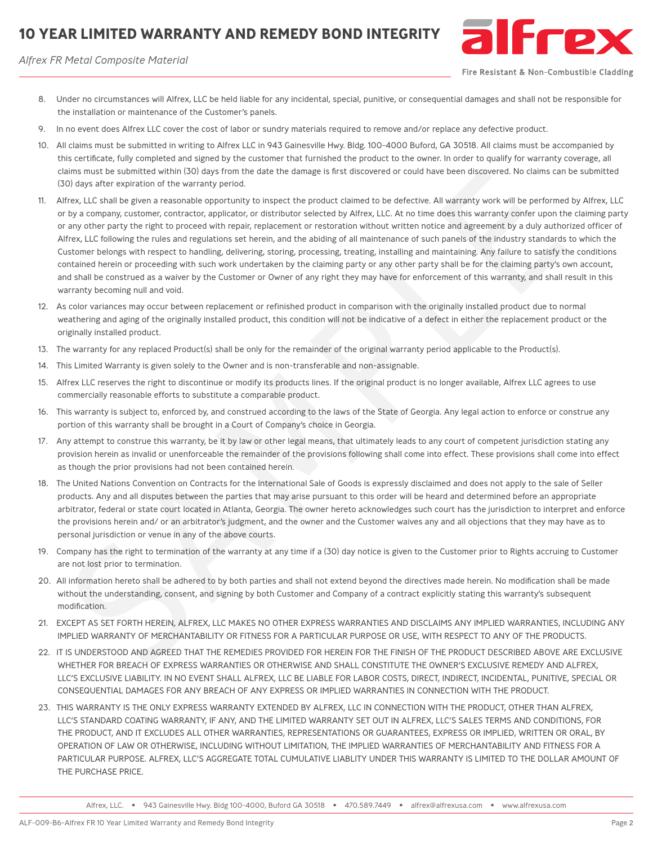## **10 YEAR LIMITED WARRANTY AND REMEDY BOND INTEGRITY**





Fire Resistant & Non-Combustible Cladding

- 8. Under no circumstances will Alfrex, LLC be held liable for any incidental, special, punitive, or consequential damages and shall not be responsible for the installation or maintenance of the Customer's panels.
- 9. In no event does Alfrex LLC cover the cost of labor or sundry materials required to remove and/or replace any defective product.
- 10. All claims must be submitted in writing to Alfrex LLC in 943 Gainesville Hwy. Bldg. 100-4000 Buford, GA 30518. All claims must be accompanied by this certificate, fully completed and signed by the customer that furnished the product to the owner. In order to qualify for warranty coverage, all claims must be submitted within (30) days from the date the damage is first discovered or could have been discovered. No claims can be submitted (30) days after expiration of the warranty period.
- 11. Alfrex, LLC shall be given a reasonable opportunity to inspect the product claimed to be defective. All warranty work will be performed by Alfrex, LLC or by a company, customer, contractor, applicator, or distributor selected by Alfrex, LLC. At no time does this warranty confer upon the claiming party or any other party the right to proceed with repair, replacement or restoration without written notice and agreement by a duly authorized officer of Alfrex, LLC following the rules and regulations set herein, and the abiding of all maintenance of such panels of the industry standards to which the Customer belongs with respect to handling, delivering, storing, processing, treating, installing and maintaining. Any failure to satisfy the conditions contained herein or proceeding with such work undertaken by the claiming party or any other party shall be for the claiming party's own account, and shall be construed as a waiver by the Customer or Owner of any right they may have for enforcement of this warranty, and shall result in this warranty becoming null and void. is certificals, (infly completed and signed by the customer that furnished the product to the comet. In order to qualify by two ments of the state of the state of the state of the state of the state of the state of the sta
- 12. As color variances may occur between replacement or refinished product in comparison with the originally installed product due to normal weathering and aging of the originally installed product, this condition will not be indicative of a defect in either the replacement product or the originally installed product.
- 13. The warranty for any replaced Product(s) shall be only for the remainder of the original warranty period applicable to the Product(s).
- 14. This Limited Warranty is given solely to the Owner and is non-transferable and non-assignable.
- 15. Alfrex LLC reserves the right to discontinue or modify its products lines. If the original product is no longer available, Alfrex LLC agrees to use commercially reasonable efforts to substitute a comparable product.
- 16. This warranty is subject to, enforced by, and construed according to the laws of the State of Georgia. Any legal action to enforce or construe any portion of this warranty shall be brought in a Court of Company's choice in Georgia.
- 17. Any attempt to construe this warranty, be it by law or other legal means, that ultimately leads to any court of competent jurisdiction stating any provision herein as invalid or unenforceable the remainder of the provisions following shall come into effect. These provisions shall come into effect as though the prior provisions had not been contained herein.
- 18. The United Nations Convention on Contracts for the International Sale of Goods is expressly disclaimed and does not apply to the sale of Seller products. Any and all disputes between the parties that may arise pursuant to this order will be heard and determined before an appropriate arbitrator, federal or state court located in Atlanta, Georgia. The owner hereto acknowledges such court has the jurisdiction to interpret and enforce the provisions herein and/ or an arbitrator's judgment, and the owner and the Customer waives any and all objections that they may have as to personal jurisdiction or venue in any of the above courts.
- 19. Company has the right to termination of the warranty at any time if a (30) day notice is given to the Customer prior to Rights accruing to Customer are not lost prior to termination.
- 20. All information hereto shall be adhered to by both parties and shall not extend beyond the directives made herein. No modification shall be made without the understanding, consent, and signing by both Customer and Company of a contract explicitly stating this warranty's subsequent modification.
- 21. EXCEPT AS SET FORTH HEREIN, ALFREX, LLC MAKES NO OTHER EXPRESS WARRANTIES AND DISCLAIMS ANY IMPLIED WARRANTIES, INCLUDING ANY IMPLIED WARRANTY OF MERCHANTABILITY OR FITNESS FOR A PARTICULAR PURPOSE OR USE, WITH RESPECT TO ANY OF THE PRODUCTS.
- 22. IT IS UNDERSTOOD AND AGREED THAT THE REMEDIES PROVIDED FOR HEREIN FOR THE FINISH OF THE PRODUCT DESCRIBED ABOVE ARE EXCLUSIVE WHETHER FOR BREACH OF EXPRESS WARRANTIES OR OTHERWISE AND SHALL CONSTITUTE THE OWNER'S EXCLUSIVE REMEDY AND ALFREX, LLC'S EXCLUSIVE LIABILITY. IN NO EVENT SHALL ALFREX, LLC BE LIABLE FOR LABOR COSTS, DIRECT, INDIRECT, INCIDENTAL, PUNITIVE, SPECIAL OR CONSEQUENTIAL DAMAGES FOR ANY BREACH OF ANY EXPRESS OR IMPLIED WARRANTIES IN CONNECTION WITH THE PRODUCT.
- 23. THIS WARRANTY IS THE ONLY EXPRESS WARRANTY EXTENDED BY ALFREX, LLC IN CONNECTION WITH THE PRODUCT, OTHER THAN ALFREX, LLC'S STANDARD COATING WARRANTY, IF ANY, AND THE LIMITED WARRANTY SET OUT IN ALFREX, LLC'S SALES TERMS AND CONDITIONS, FOR THE PRODUCT, AND IT EXCLUDES ALL OTHER WARRANTIES, REPRESENTATIONS OR GUARANTEES, EXPRESS OR IMPLIED, WRITTEN OR ORAL, BY OPERATION OF LAW OR OTHERWISE, INCLUDING WITHOUT LIMITATION, THE IMPLIED WARRANTIES OF MERCHANTABILITY AND FITNESS FOR A PARTICULAR PURPOSE. ALFREX, LLC'S AGGREGATE TOTAL CUMULATIVE LIABLITY UNDER THIS WARRANTY IS LIMITED TO THE DOLLAR AMOUNT OF THE PURCHASE PRICE.